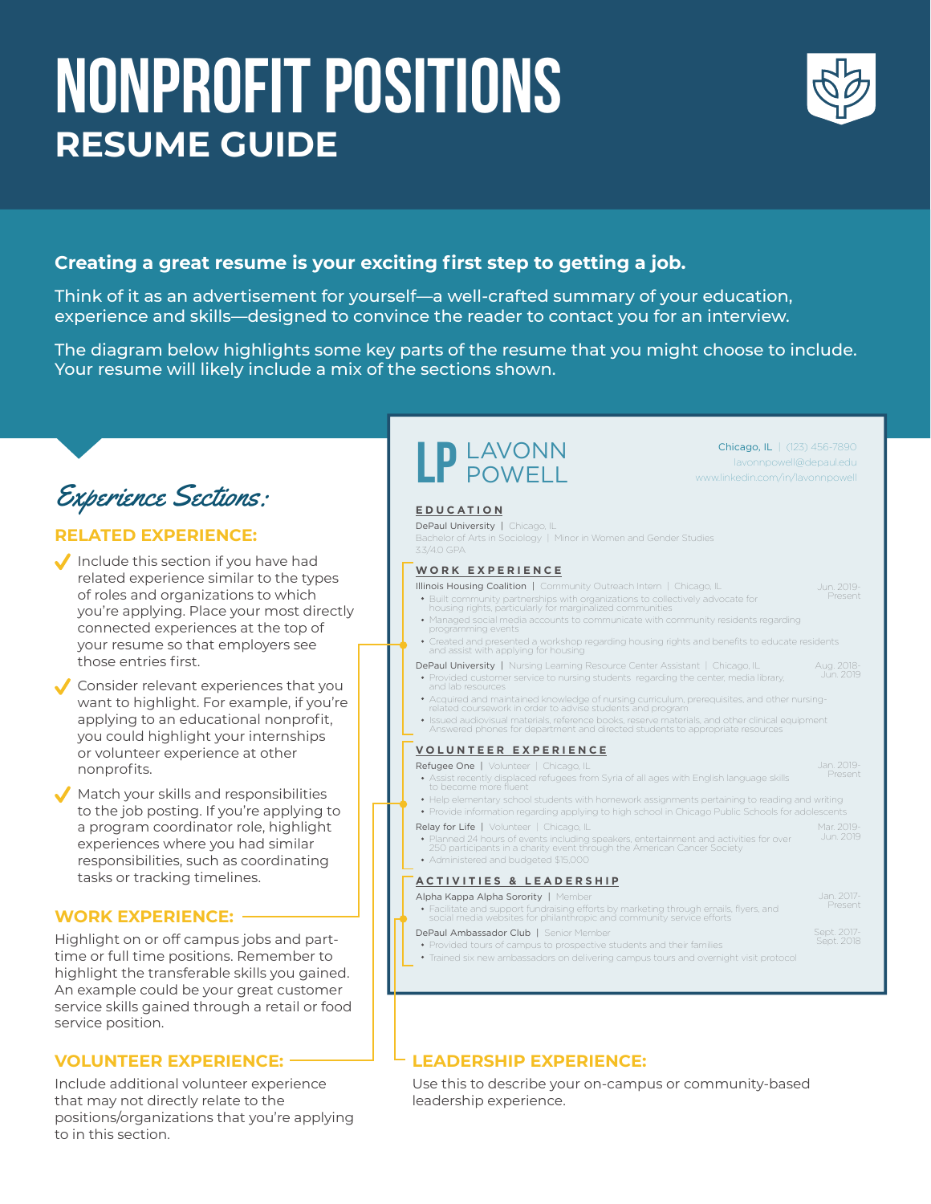# NONPROFIT POSITIONS **RESUME GUIDE**



Aug. 2018- Jun. 2019

Chicago, IL | (123) 456-7890 lavonnpowell@depaul.edu www.linkedin.com/in/lavonnpowell

Sept. 2017- Sept. 2018

## **Creating a great resume is your exciting first step to getting a job.**

Think of it as an advertisement for yourself—a well-crafted summary of your education, experience and skills—designed to convince the reader to contact you for an interview.

The diagram below highlights some key parts of the resume that you might choose to include. Your resume will likely include a mix of the sections shown.

## Experience Sections:

### **RELATED EXPERIENCE:**

 $\blacklozenge$  Include this section if you have had related experience similar to the types of roles and organizations to which you're applying. Place your most directly connected experiences at the top of your resume so that employers see those entries first.

Consider relevant experiences that you want to highlight. For example, if you're applying to an educational nonprofit, you could highlight your internships or volunteer experience at other nonprofits.

Match your skills and responsibilities to the job posting. If you're applying to a program coordinator role, highlight experiences where you had similar responsibilities, such as coordinating tasks or tracking timelines.

#### **WORK EXPERIENCE:**

Highlight on or off campus jobs and parttime or full time positions. Remember to highlight the transferable skills you gained. An example could be your great customer service skills gained through a retail or food service position.

Include additional volunteer experience that may not directly relate to the positions/organizations that you're applying to in this section.

## LP LAVONN

**EDUCATION**

#### DePaul University | Chicago, IL

Bachelor of Arts in Sociology | Minor in Women and Gender Studies

#### **WORK EXPERIENCE**

- Illinois Housing Coalition | Community Outreach Intern | Chicago, IL Built community partnerships with organizations to collectively advocate for housing rights, particularly for marginalized communities Jun. 2019- Present
	- Managed social media accounts to communicate with community residents regarding programming events
- Created and presented a workshop regarding housing rights and benefits to educate residents and assist with applying for housing
- DePaul University | Nursing Learning Resource Center Assistant | Chicago, IL
- Provided customer service to nursing students regarding the center, media library, and lab resources Acquired and maintained knowledge of nursing curriculum, prerequisites, and other nursing-
- related coursework in order to advise students and program
- Issued audiovisual materials, reference books, reserve materials, and other clinical equipment Answered phones for department and directed students to appropriate resources

#### **VOLUNTEER EXPERIENCE**

- Refugee One | Volunteer | Chicago, IL Assist recently displaced refugees from Syria of all ages with English language skills to become more fluent Jan. 2019- Present
- Help elementary school students with homework assignments pertaining to reading and writing Provide information regarding applying to high school in Chicago Public Schools for adolescents
- Relay for Life | Volunteer | Chicago, IL Planned 24 hours of events including speakers, entertainment and activities for over 250 participants in a charity event through the American Cancer Society Mar. 2019-
- Administered and budgeted \$15,000

#### **ACTIVITIES & LEADERSHIP**

- Alpha Kappa Alpha Sorority | Member Facilitate and support fundraising efforts by marketing through emails, flyers, and social media websites for philanthropic and community service efforts
- DePaul Ambassador Club | Senior Member
	- Provided tours of campus to prospective students and their families

Trained six new ambassadors on delivering campus tours and overnight visit protocol

### **VOLUNTEER EXPERIENCE: LEADERSHIP EXPERIENCE:**

Use this to describe your on-campus or community-based leadership experience.